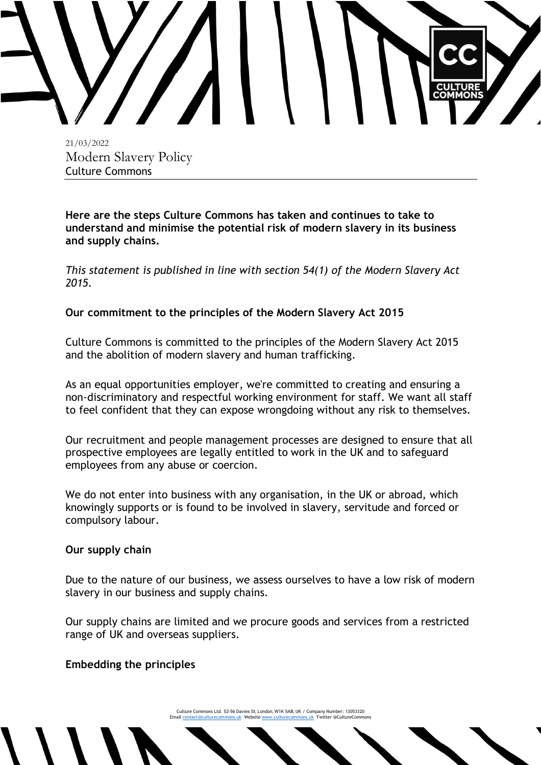

21/03/2022 Modern Slavery Policy Culture Commons

**Here are the steps Culture Commons has taken and continues to take to understand and minimise the potential risk of modern slavery in its business and supply chains.**

*This statement is published in line with section 54(1) of the Modern Slavery Act 2015.*

## **Our commitment to the principles of the Modern Slavery Act 2015**

Culture Commons is committed to the principles of the Modern Slavery Act 2015 and the abolition of modern slavery and human trafficking.

As an equal opportunities employer, we're committed to creating and ensuring a non-discriminatory and respectful working environment for staff. We want all staff to feel confident that they can expose wrongdoing without any risk to themselves.

Our recruitment and people management processes are designed to ensure that all prospective employees are legally entitled to work in the UK and to safeguard employees from any abuse or coercion.

We do not enter into business with any organisation, in the UK or abroad, which knowingly supports or is found to be involved in slavery, servitude and forced or compulsory labour.

## **Our supply chain**

Due to the nature of our business, we assess ourselves to have a low risk of modern slavery in our business and supply chains.

Our supply chains are limited and we procure goods and services from a restricted range of UK and overseas suppliers.

## **Embedding the principles**

Culture Commons Ltd. 52-56 Davies St, London, W1K 5AB, UK / Company Number: 13053320 Emai[l contact@culturecommons.uk](mailto:contact@culturecommons.uk) Websit[e www.culturecommons.uk](http://www.culturecommons.uk/) Twitter @CultureCommons